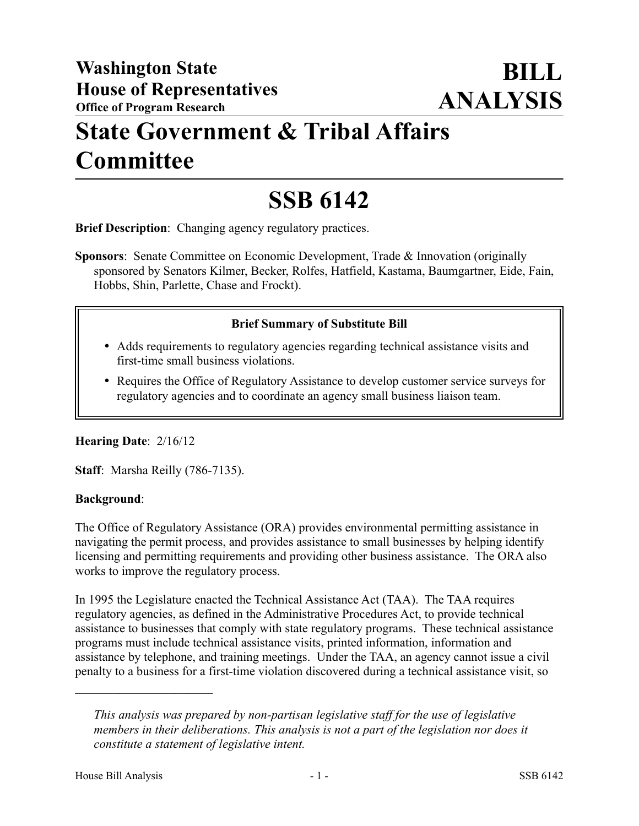## **State Government & Tribal Affairs Committee**

# **SSB 6142**

**Brief Description**: Changing agency regulatory practices.

**Sponsors**: Senate Committee on Economic Development, Trade & Innovation (originally sponsored by Senators Kilmer, Becker, Rolfes, Hatfield, Kastama, Baumgartner, Eide, Fain, Hobbs, Shin, Parlette, Chase and Frockt).

#### **Brief Summary of Substitute Bill**

- Adds requirements to regulatory agencies regarding technical assistance visits and first-time small business violations.
- Requires the Office of Regulatory Assistance to develop customer service surveys for regulatory agencies and to coordinate an agency small business liaison team.

### **Hearing Date**: 2/16/12

**Staff**: Marsha Reilly (786-7135).

#### **Background**:

The Office of Regulatory Assistance (ORA) provides environmental permitting assistance in navigating the permit process, and provides assistance to small businesses by helping identify licensing and permitting requirements and providing other business assistance. The ORA also works to improve the regulatory process.

In 1995 the Legislature enacted the Technical Assistance Act (TAA). The TAA requires regulatory agencies, as defined in the Administrative Procedures Act, to provide technical assistance to businesses that comply with state regulatory programs. These technical assistance programs must include technical assistance visits, printed information, information and assistance by telephone, and training meetings. Under the TAA, an agency cannot issue a civil penalty to a business for a first-time violation discovered during a technical assistance visit, so

––––––––––––––––––––––

*This analysis was prepared by non-partisan legislative staff for the use of legislative members in their deliberations. This analysis is not a part of the legislation nor does it constitute a statement of legislative intent.*